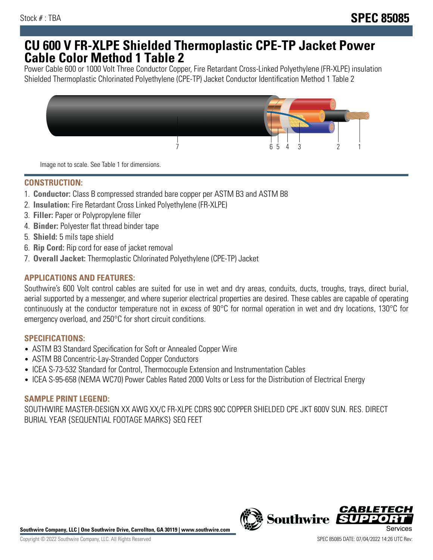## **CU 600 V FR-XLPE Shielded Thermoplastic CPE-TP Jacket Power Cable Color Method 1 Table 2**

Power Cable 600 or 1000 Volt Three Conductor Copper, Fire Retardant Cross-Linked Polyethylene (FR-XLPE) insulation Shielded Thermoplastic Chlorinated Polyethylene (CPE-TP) Jacket Conductor Identification Method 1 Table 2



Image not to scale. See Table 1 for dimensions.

## **CONSTRUCTION:**

- 1. **Conductor:** Class B compressed stranded bare copper per ASTM B3 and ASTM B8
- 2. **Insulation:** Fire Retardant Cross Linked Polyethylene (FR-XLPE)
- 3. **Filler:** Paper or Polypropylene filler
- 4. **Binder:** Polyester flat thread binder tape
- 5. **Shield:** 5 mils tape shield
- 6. **Rip Cord:** Rip cord for ease of jacket removal
- 7. **Overall Jacket:** Thermoplastic Chlorinated Polyethylene (CPE-TP) Jacket

### **APPLICATIONS AND FEATURES:**

Southwire's 600 Volt control cables are suited for use in wet and dry areas, conduits, ducts, troughs, trays, direct burial, aerial supported by a messenger, and where superior electrical properties are desired. These cables are capable of operating continuously at the conductor temperature not in excess of 90°C for normal operation in wet and dry locations, 130°C for emergency overload, and 250°C for short circuit conditions.

#### **SPECIFICATIONS:**

- ASTM B3 Standard Specification for Soft or Annealed Copper Wire
- ASTM B8 Concentric-Lay-Stranded Copper Conductors
- ICEA S-73-532 Standard for Control, Thermocouple Extension and Instrumentation Cables
- ICEA S-95-658 (NEMA WC70) Power Cables Rated 2000 Volts or Less for the Distribution of Electrical Energy

#### **SAMPLE PRINT LEGEND:**

SOUTHWIRE MASTER-DESIGN XX AWG XX/C FR-XLPE CDRS 90C COPPER SHIELDED CPE JKT 600V SUN. RES. DIRECT BURIAL YEAR {SEQUENTIAL FOOTAGE MARKS} SEQ FEET